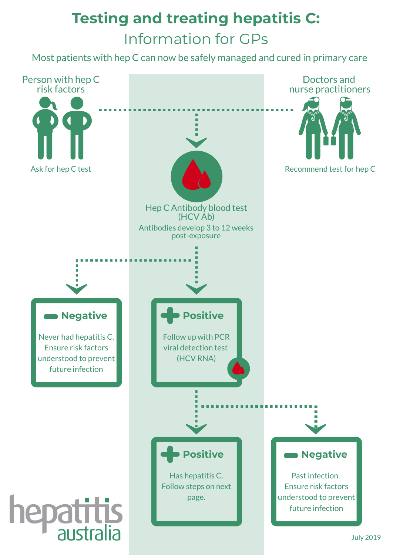# **Testing and treating hepatitis C:** Information for GPs

Most patients with hep C can now be safely managed and cured in primary care

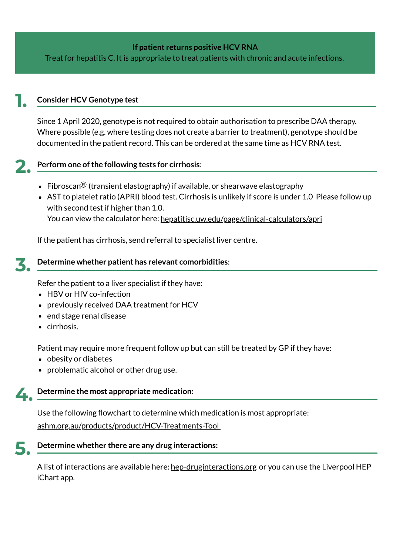#### **If patient returns positive HCV RNA**

Treat for hepatitis C. It is appropriate to treat patients with chronic and acute infections.

#### **Consider HCV Genotype test 1.**

Since 1 April 2020, genotype is not required to obtain authorisation to prescribe DAA therapy. Where possible (e.g. where testing does not create a barrier to treatment), genotype should be documented in the patient record. This can be ordered at the same time as HCV RNA test.

# **2.**

### **Perform one ofthe following tests for cirrhosis**:

- Fibroscan $\mathcal B$  (transient elastography) if available, or shearwave elastography
- AST to platelet ratio (APRI) blood test. Cirrhosis is unlikely if score is under 1.0 Please follow up with second test if higher than 1.0. You can view the calculator here: <u>[hepatitisc.uw.edu/page/clinical-calculators/apri](http://www.hepatitisc.uw.edu/page/clinical-calculators/apri)</u>

If the patient has cirrhosis, send referral to specialist liver centre.

#### **Determine whether patient has relevant comorbidities**: **3.**

Refer the patient to a liver specialist if they have:

- HBV or HIV co-infection
- previously received DAA treatment for HCV
- end stage renal disease
- cirrhosis.

Patient may require more frequent follow up but can still be treated by GP if they have:

- obesity or diabetes
- problematic alcohol or other drug use.

#### **Determine the most appropriate medication: 4.**

Use the following flowchart to determine which medication is most appropriate: [ashm.org.au/products/product/HCV-Treatments-Tool](http://www.ashm.org.au/products/product/HCV-Treatments-Tool)

**5.**

#### **Determine whether there are any drug interactions:**

A list of interactions are available here: <u>[hep-druginteractions.org](http://www.hep-druginteractions.org/)</u> or you can use the Liverpool HEP iChart app.